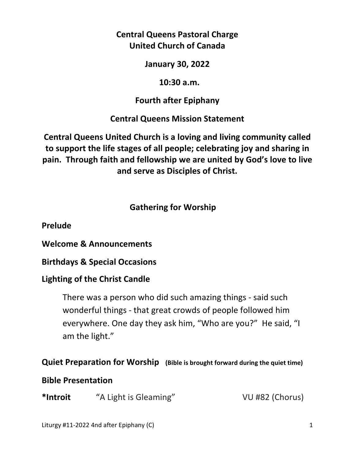**Central Queens Pastoral Charge United Church of Canada** 

**January 30, 2022** 

 **10:30 a.m.** 

**Fourth after Epiphany** 

**Central Queens Mission Statement** 

**Central Queens United Church is a loving and living community called to support the life stages of all people; celebrating joy and sharing in pain. Through faith and fellowship we are united by God's love to live and serve as Disciples of Christ.**

 **Gathering for Worship** 

**Prelude** 

**Welcome & Announcements** 

**Birthdays & Special Occasions** 

# **Lighting of the Christ Candle**

There was a person who did such amazing things - said such wonderful things - that great crowds of people followed him everywhere. One day they ask him, "Who are you?" He said, "I am the light."

# **Quiet Preparation for Worship (Bible is brought forward during the quiet time)**

# **Bible Presentation**

**\*Introit** "A Light is Gleaming" VU #82 (Chorus)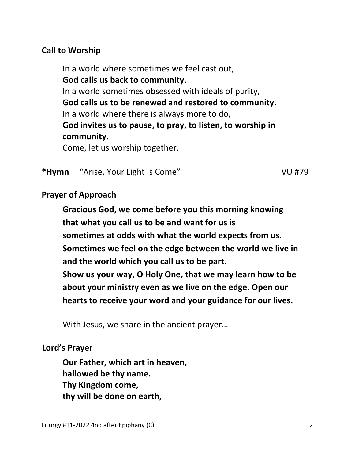## **Call to Worship**

 In a world where sometimes we feel cast out,  **God calls us back to community.**  In a world sometimes obsessed with ideals of purity,  **God calls us to be renewed and restored to community.**  In a world where there is always more to do,  **God invites us to pause, to pray, to listen, to worship in community.** 

Come, let us worship together.

\*Hymn "Arise, Your Light Is Come" VU #79

#### **Prayer of Approach**

 **Gracious God, we come before you this morning knowing that what you call us to be and want for us is sometimes at odds with what the world expects from us. Sometimes we feel on the edge between the world we live in and the world which you call us to be part. Show us your way, O Holy One, that we may learn how to be about your ministry even as we live on the edge. Open our hearts to receive your word and your guidance for our lives.** 

With Jesus, we share in the ancient prayer…

#### **Lord's Prayer**

**Our Father, which art in heaven, hallowed be thy name. Thy Kingdom come, thy will be done on earth,**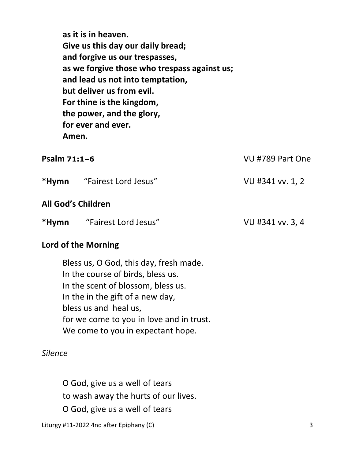**as it is in heaven. Give us this day our daily bread; and forgive us our trespasses, as we forgive those who trespass against us; and lead us not into temptation, but deliver us from evil. For thine is the kingdom, the power, and the glory, for ever and ever. Amen.** 

**Psalm 71:1–6** VU #789 Part One

**\*Hymn** "Fairest Lord Jesus" VU #341 vv. 1, 2

#### **All God's Children**

**\*Hymn** "Fairest Lord Jesus" VU #341 vv. 3, 4

#### **Lord of the Morning**

Bless us, O God, this day, fresh made. In the course of birds, bless us. In the scent of blossom, bless us. In the in the gift of a new day, bless us and heal us, for we come to you in love and in trust. We come to you in expectant hope.

#### *Silence*

 O God, give us a well of tears to wash away the hurts of our lives. O God, give us a well of tears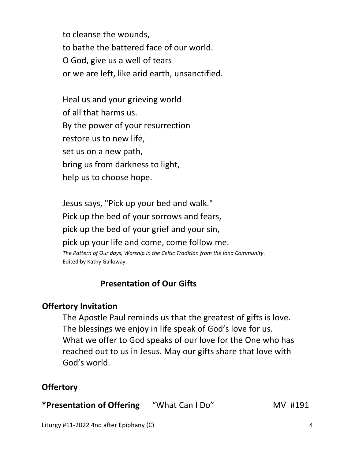to cleanse the wounds, to bathe the battered face of our world. O God, give us a well of tears or we are left, like arid earth, unsanctified.

 Heal us and your grieving world of all that harms us. By the power of your resurrection restore us to new life, set us on a new path, bring us from darkness to light, help us to choose hope.

 Jesus says, "Pick up your bed and walk." Pick up the bed of your sorrows and fears, pick up the bed of your grief and your sin, pick up your life and come, come follow me.  *The Pattern of Our days, Worship in the Celtic Tradition from the Iona Community*. Edited by Kathy Galloway.

## **Presentation of Our Gifts**

#### **Offertory Invitation**

 The Apostle Paul reminds us that the greatest of gifts is love. The blessings we enjoy in life speak of God's love for us. What we offer to God speaks of our love for the One who has reached out to us in Jesus. May our gifts share that love with God's world.

## **Offertory**

| <b>*Presentation of Offering</b> | "What Can I Do" | MV #191 |
|----------------------------------|-----------------|---------|
|----------------------------------|-----------------|---------|

Liturgy #11-2022 4nd after Epiphany (C) 4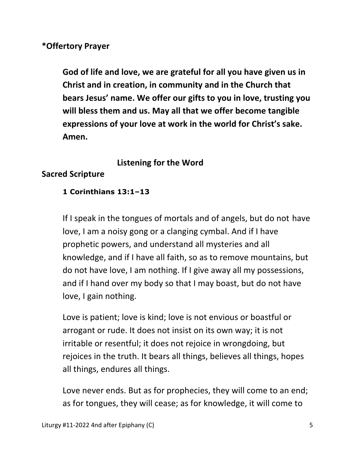#### **\*Offertory Prayer**

 **God of life and love, we are grateful for all you have given us in Christ and in creation, in community and in the Church that bears Jesus' name. We offer our gifts to you in love, trusting you will bless them and us. May all that we offer become tangible expressions of your love at work in the world for Christ's sake. Amen.** 

## **Listening for the Word**

## **Sacred Scripture**

#### **1 Corinthians 13:1–13**

If I speak in the tongues of mortals and of angels, but do not have love, I am a noisy gong or a clanging cymbal. And if I have prophetic powers, and understand all mysteries and all knowledge, and if I have all faith, so as to remove mountains, but do not have love, I am nothing. If I give away all my possessions, and if I hand over my body so that I may boast, but do not have love, I gain nothing.

Love is patient; love is kind; love is not envious or boastful or arrogant or rude. It does not insist on its own way; it is not irritable or resentful; it does not rejoice in wrongdoing, but rejoices in the truth. It bears all things, believes all things, hopes all things, endures all things.

Love never ends. But as for prophecies, they will come to an end; as for tongues, they will cease; as for knowledge, it will come to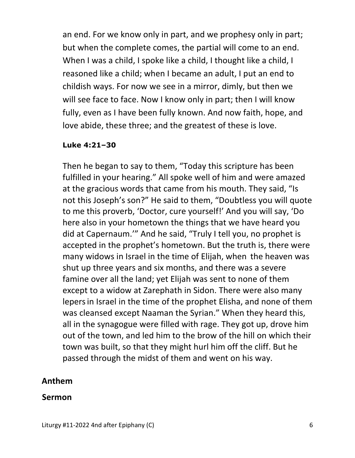an end. For we know only in part, and we prophesy only in part; but when the complete comes, the partial will come to an end. When I was a child, I spoke like a child, I thought like a child, I reasoned like a child; when I became an adult, I put an end to childish ways. For now we see in a mirror, dimly, but then we will see face to face. Now I know only in part; then I will know fully, even as I have been fully known. And now faith, hope, and love abide, these three; and the greatest of these is love.

#### **Luke 4:21–30**

Then he began to say to them, "Today this scripture has been fulfilled in your hearing." All spoke well of him and were amazed at the gracious words that came from his mouth. They said, "Is not this Joseph's son?" He said to them, "Doubtless you will quote to me this proverb, 'Doctor, cure yourself!' And you will say, 'Do here also in your hometown the things that we have heard you did at Capernaum.'" And he said, "Truly I tell you, no prophet is accepted in the prophet's hometown. But the truth is, there were many widows in Israel in the time of Elijah, when the heaven was shut up three years and six months, and there was a severe famine over all the land; yet Elijah was sent to none of them except to a widow at Zarephath in Sidon. There were also many lepersin Israel in the time of the prophet Elisha, and none of them was cleansed except Naaman the Syrian." When they heard this, all in the synagogue were filled with rage. They got up, drove him out of the town, and led him to the brow of the hill on which their town was built, so that they might hurl him off the cliff. But he passed through the midst of them and went on his way.

#### **Anthem**

#### **Sermon**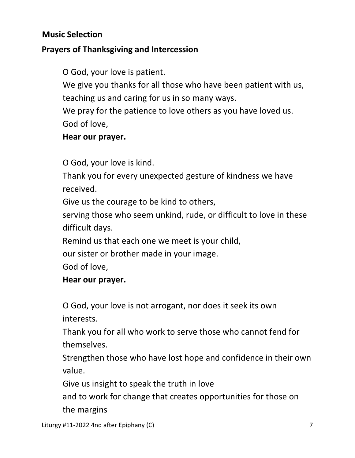## **Music Selection**

## **Prayers of Thanksgiving and Intercession**

O God, your love is patient.

 We give you thanks for all those who have been patient with us, teaching us and caring for us in so many ways.

We pray for the patience to love others as you have loved us. God of love,

#### **Hear our prayer.**

O God, your love is kind.

 Thank you for every unexpected gesture of kindness we have received.

Give us the courage to be kind to others,

 serving those who seem unkind, rude, or difficult to love in these difficult days.

Remind us that each one we meet is your child,

our sister or brother made in your image.

God of love,

#### **Hear our prayer.**

 O God, your love is not arrogant, nor does it seek its own interests.

 Thank you for all who work to serve those who cannot fend for themselves.

 Strengthen those who have lost hope and confidence in their own value.

Give us insight to speak the truth in love

 and to work for change that creates opportunities for those on the margins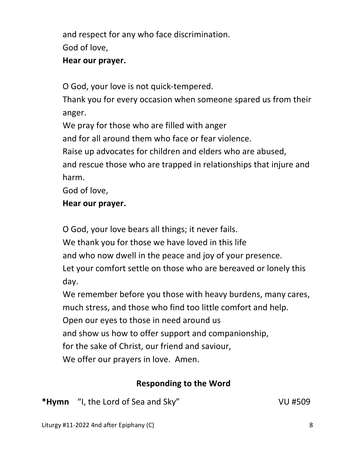and respect for any who face discrimination.

God of love,

## **Hear our prayer.**

O God, your love is not quick-tempered.

 Thank you for every occasion when someone spared us from their anger.

We pray for those who are filled with anger

and for all around them who face or fear violence.

Raise up advocates for children and elders who are abused,

 and rescue those who are trapped in relationships that injure and harm.

God of love,

# **Hear our prayer.**

O God, your love bears all things; it never fails.

We thank you for those we have loved in this life

and who now dwell in the peace and joy of your presence.

 Let your comfort settle on those who are bereaved or lonely this day.

 We remember before you those with heavy burdens, many cares, much stress, and those who find too little comfort and help.

Open our eyes to those in need around us

and show us how to offer support and companionship,

for the sake of Christ, our friend and saviour,

We offer our prayers in love. Amen.

# **Responding to the Word**

**\*Hymn** "I, the Lord of Sea and Sky" VU #509